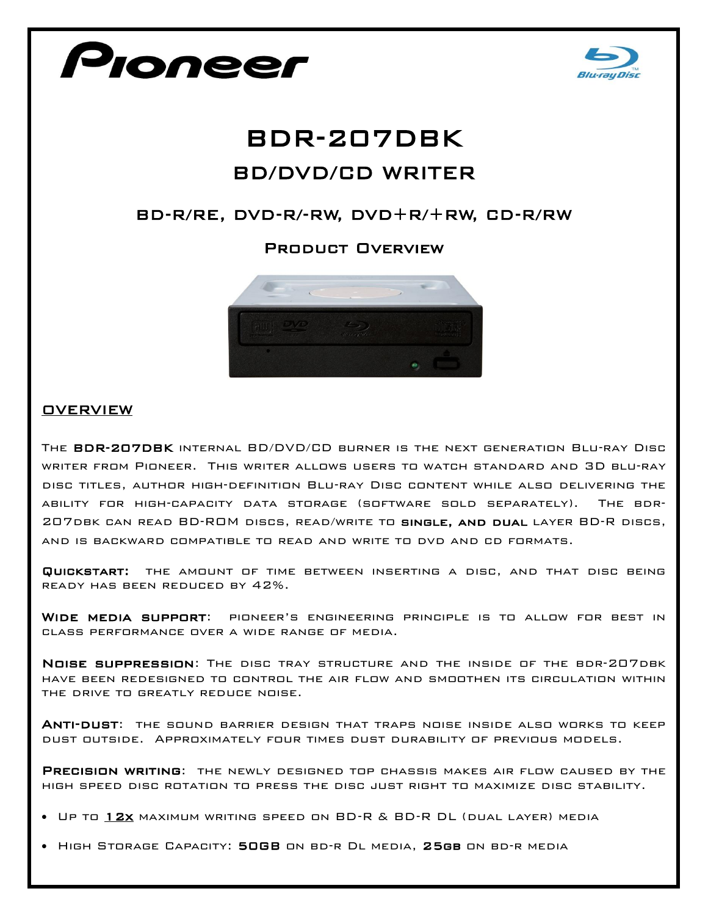



# BDR-207DBK BD/DVD/CD WRITER

## BD-R/RE, DVD-R/-RW, DVD+R/+RW, CD-R/RW

### Product Overview



#### **OVERVIEW**

The BDR-207DBK internal BD/DVD/CD burner is the next generation Blu-ray Disc writer from Pioneer. This writer allows users to watch standard and 3D blu-ray disc titles, author high-definition Blu-ray Disc content while also delivering the ability for high-capacity data storage (software sold separately). The bdr-207dbk can read BD-ROM discs, read/write to single, and dual layer BD-R discs, and is backward compatible to read and write to dvd and cd formats.

Quickstart: the amount of time between inserting a disc, and that disc being ready has been reduced by 42%.

Wide media support: pioneer's engineering principle is to allow for best in class performance over a wide range of media.

Noise suppression: The disc tray structure and the inside of the bdr-207dbk have been redesigned to control the air flow and smoothen its circulation within the drive to greatly reduce noise.

Anti-dust: the sound barrier design that traps noise inside also works to keep dust outside. Approximately four times dust durability of previous models.

PRECISION WRITING: THE NEWLY DESIGNED TOP CHASSIS MAKES AIR FLOW CAUSED BY THE high speed disc rotation to press the disc just right to maximize disc stability.

- Up to 12x maximum writing speed on BD-R & BD-R DL (dual layer) media
- High Storage Capacity: 50GB on bd-r Dl media, 25gb on bd-r media